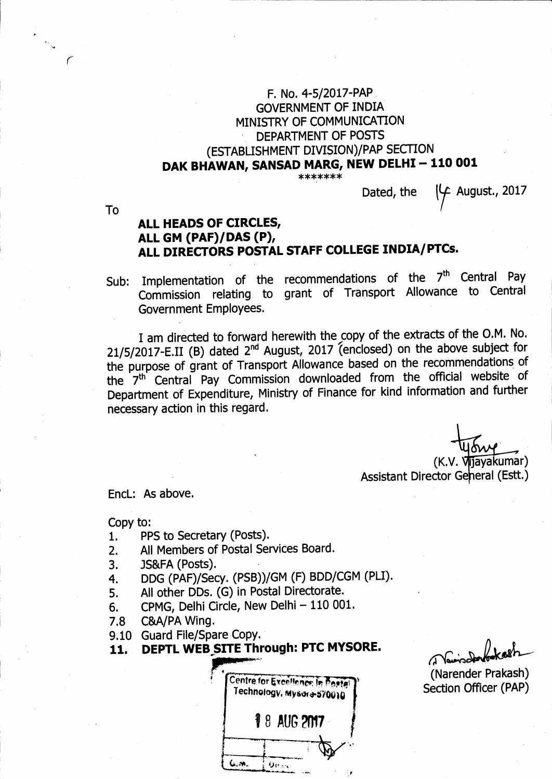## F. No. 4-5/2017-PAP **GOVERNMENT OF INDIA** MINISTRY OF COMMUNICATION DEPARTMENT OF POSTS (ESTABLISHMENT DIVISION)/PAP SECTION DAK BHAWAN, SANSAD MARG, NEW DELHI - 110 001

\*\*\*\*\*\*\*

August., 2017 Dated, the

**To** 

## ALL HEADS OF CIRCLES, ALL GM (PAF)/DAS (P), ALL DIRECTORS POSTAL STAFF COLLEGE INDIA/PTCs.

Sub: Implementation of the recommendations of the 7<sup>th</sup> Central Pay Commission relating to grant of Transport Allowance to Central **Government Employees.** 

I am directed to forward herewith the copy of the extracts of the O.M. No. 21/5/2017-E.II (B) dated 2<sup>nd</sup> August, 2017 (enclosed) on the above subject for the purpose of grant of Transport Allowance based on the recommendations of the 7<sup>th</sup> Central Pay Commission downloaded from the official website of Department of Expenditure, Ministry of Finance for kind information and further necessary action in this regard.

> (K.V. Vijayakumar) Assistant Director Geheral (Estt.)

EncL: As above.

Copy to:

- PPS to Secretary (Posts).  $1.$
- All Members of Postal Services Board.  $2.$
- $3.$ JS&FA (Posts).
- DDG (PAF)/Secy. (PSB))/GM (F) BDD/CGM (PLI).  $\overline{4}$ .
- All other DDs. (G) in Postal Directorate. 5.
- CPMG, Delhi Circle, New Delhi 110 001. 6.
- C&A/PA Wing.  $7.8$
- 9.10 Guard File/Spare Copy.
- DEPTL WEB SITE Through: PTC MYSORE. 11.

Centre for Excellence: In Posta Technology, Mysor+570010 **18 AUG 2017** .پو.ئ  $0\nu_{\rm cr}$ 

 $\mathcal{L}_{\mathbf{X}}$ 

(Narender Prakash) **Section Officer (PAP)**